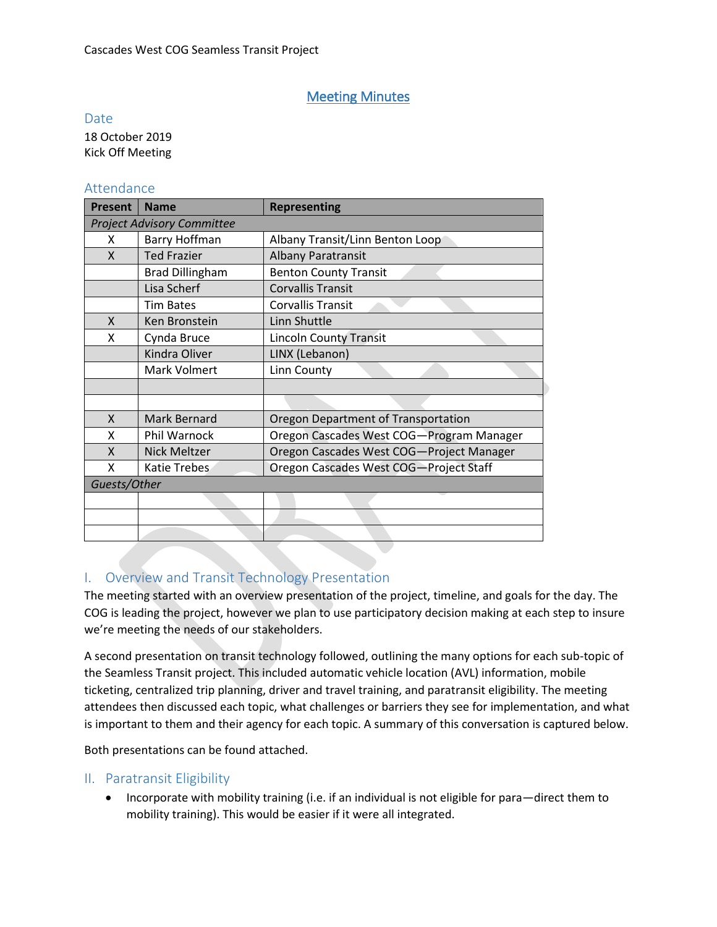# Meeting Minutes

Date

18 October 2019 Kick Off Meeting

# Attendance

| <b>Present</b>                    | <b>Name</b>            | <b>Representing</b>                      |
|-----------------------------------|------------------------|------------------------------------------|
| <b>Project Advisory Committee</b> |                        |                                          |
| X                                 | Barry Hoffman          | Albany Transit/Linn Benton Loop          |
| X                                 | <b>Ted Frazier</b>     | <b>Albany Paratransit</b>                |
|                                   | <b>Brad Dillingham</b> | <b>Benton County Transit</b>             |
|                                   | Lisa Scherf            | <b>Corvallis Transit</b>                 |
|                                   | <b>Tim Bates</b>       | <b>Corvallis Transit</b>                 |
| X                                 | Ken Bronstein          | Linn Shuttle                             |
| X                                 | Cynda Bruce            | <b>Lincoln County Transit</b>            |
|                                   | Kindra Oliver          | LINX (Lebanon)                           |
|                                   | Mark Volmert           | Linn County                              |
|                                   |                        |                                          |
|                                   |                        |                                          |
| X                                 | Mark Bernard           | Oregon Department of Transportation      |
| X                                 | Phil Warnock           | Oregon Cascades West COG-Program Manager |
| X                                 | <b>Nick Meltzer</b>    | Oregon Cascades West COG-Project Manager |
| X                                 | Katie Trebes           | Oregon Cascades West COG-Project Staff   |
| Guests/Other                      |                        |                                          |
|                                   |                        |                                          |
|                                   |                        |                                          |
|                                   |                        |                                          |

# I. Overview and Transit Technology Presentation

The meeting started with an overview presentation of the project, timeline, and goals for the day. The COG is leading the project, however we plan to use participatory decision making at each step to insure we're meeting the needs of our stakeholders.

A second presentation on transit technology followed, outlining the many options for each sub-topic of the Seamless Transit project. This included automatic vehicle location (AVL) information, mobile ticketing, centralized trip planning, driver and travel training, and paratransit eligibility. The meeting attendees then discussed each topic, what challenges or barriers they see for implementation, and what is important to them and their agency for each topic. A summary of this conversation is captured below.

Both presentations can be found attached.

#### II. Paratransit Eligibility

• Incorporate with mobility training (i.e. if an individual is not eligible for para—direct them to mobility training). This would be easier if it were all integrated.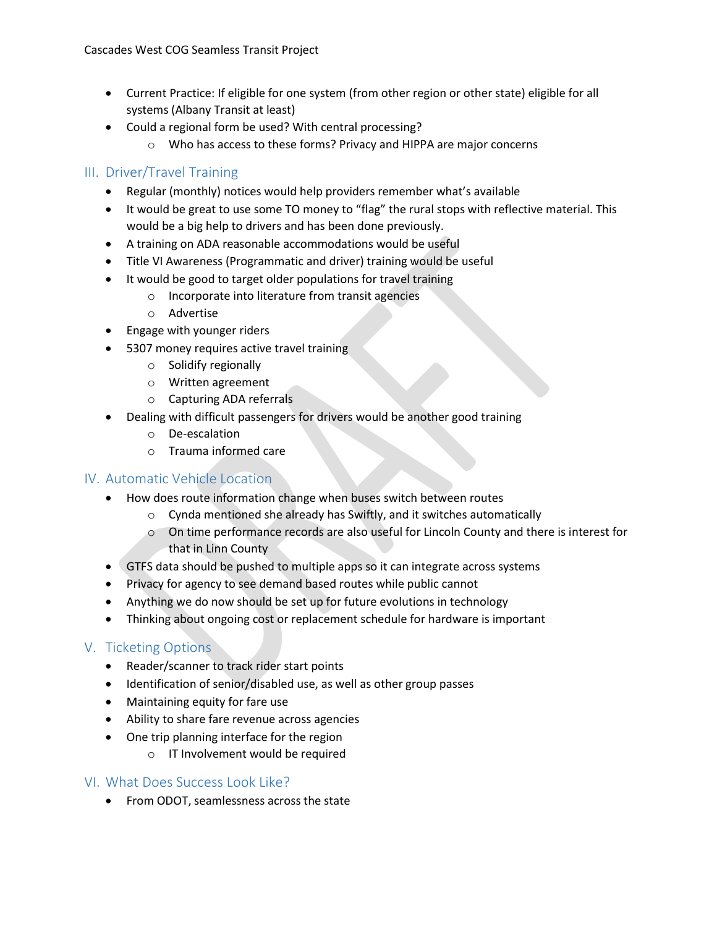- Current Practice: If eligible for one system (from other region or other state) eligible for all systems (Albany Transit at least)
- Could a regional form be used? With central processing?
	- o Who has access to these forms? Privacy and HIPPA are major concerns

# III. Driver/Travel Training

- Regular (monthly) notices would help providers remember what's available
- It would be great to use some TO money to "flag" the rural stops with reflective material. This would be a big help to drivers and has been done previously.
- A training on ADA reasonable accommodations would be useful
- Title VI Awareness (Programmatic and driver) training would be useful
- It would be good to target older populations for travel training
	- o Incorporate into literature from transit agencies
	- o Advertise
- Engage with younger riders
- 5307 money requires active travel training
	- o Solidify regionally
	- o Written agreement
	- o Capturing ADA referrals
- Dealing with difficult passengers for drivers would be another good training
	- o De-escalation
	- o Trauma informed care

# IV. Automatic Vehicle Location

- How does route information change when buses switch between routes
	- o Cynda mentioned she already has Swiftly, and it switches automatically
	- o On time performance records are also useful for Lincoln County and there is interest for that in Linn County
- GTFS data should be pushed to multiple apps so it can integrate across systems
- Privacy for agency to see demand based routes while public cannot
- Anything we do now should be set up for future evolutions in technology
- Thinking about ongoing cost or replacement schedule for hardware is important

# V. Ticketing Options

- Reader/scanner to track rider start points
- Identification of senior/disabled use, as well as other group passes
- Maintaining equity for fare use
- Ability to share fare revenue across agencies
- One trip planning interface for the region
	- o IT Involvement would be required

# VI. What Does Success Look Like?

• From ODOT, seamlessness across the state